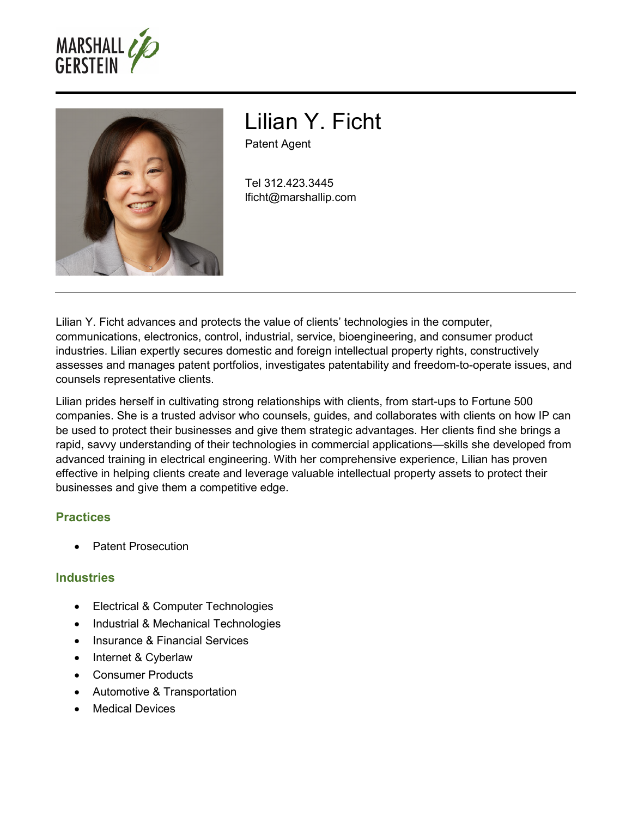



# Lilian Y. Ficht Patent Agent

Tel 312.423.3445 lficht@marshallip.com

Lilian Y. Ficht advances and protects the value of clients' technologies in the computer, communications, electronics, control, industrial, service, bioengineering, and consumer product industries. Lilian expertly secures domestic and foreign intellectual property rights, constructively assesses and manages patent portfolios, investigates patentability and freedom-to-operate issues, and counsels representative clients.

Lilian prides herself in cultivating strong relationships with clients, from start-ups to Fortune 500 companies. She is a trusted advisor who counsels, guides, and collaborates with clients on how IP can be used to protect their businesses and give them strategic advantages. Her clients find she brings a rapid, savvy understanding of their technologies in commercial applications—skills she developed from advanced training in electrical engineering. With her comprehensive experience, Lilian has proven effective in helping clients create and leverage valuable intellectual property assets to protect their businesses and give them a competitive edge.

# **Practices**

Patent Prosecution

# **Industries**

- Electrical & Computer Technologies
- Industrial & Mechanical Technologies
- Insurance & Financial Services
- Internet & Cyberlaw
- Consumer Products
- Automotive & Transportation
- Medical Devices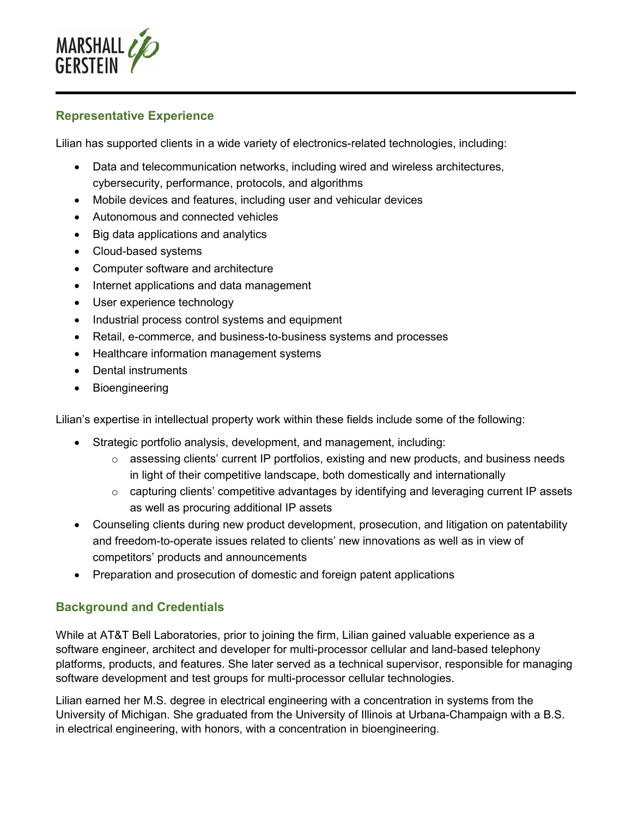

#### **Representative Experience**

Lilian has supported clients in a wide variety of electronics-related technologies, including:

- Data and telecommunication networks, including wired and wireless architectures, cybersecurity, performance, protocols, and algorithms
- Mobile devices and features, including user and vehicular devices
- Autonomous and connected vehicles
- Big data applications and analytics
- Cloud-based systems
- Computer software and architecture
- Internet applications and data management
- User experience technology
- Industrial process control systems and equipment
- Retail, e-commerce, and business-to-business systems and processes
- Healthcare information management systems
- Dental instruments
- Bioengineering

Lilian's expertise in intellectual property work within these fields include some of the following:

- Strategic portfolio analysis, development, and management, including:
	- o assessing clients' current IP portfolios, existing and new products, and business needs in light of their competitive landscape, both domestically and internationally
	- o capturing clients' competitive advantages by identifying and leveraging current IP assets as well as procuring additional IP assets
- Counseling clients during new product development, prosecution, and litigation on patentability and freedom-to-operate issues related to clients' new innovations as well as in view of competitors' products and announcements
- Preparation and prosecution of domestic and foreign patent applications

# **Background and Credentials**

While at AT&T Bell Laboratories, prior to joining the firm, Lilian gained valuable experience as a software engineer, architect and developer for multi-processor cellular and land-based telephony platforms, products, and features. She later served as a technical supervisor, responsible for managing software development and test groups for multi-processor cellular technologies.

Lilian earned her M.S. degree in electrical engineering with a concentration in systems from the University of Michigan. She graduated from the University of Illinois at Urbana-Champaign with a B.S. in electrical engineering, with honors, with a concentration in bioengineering.